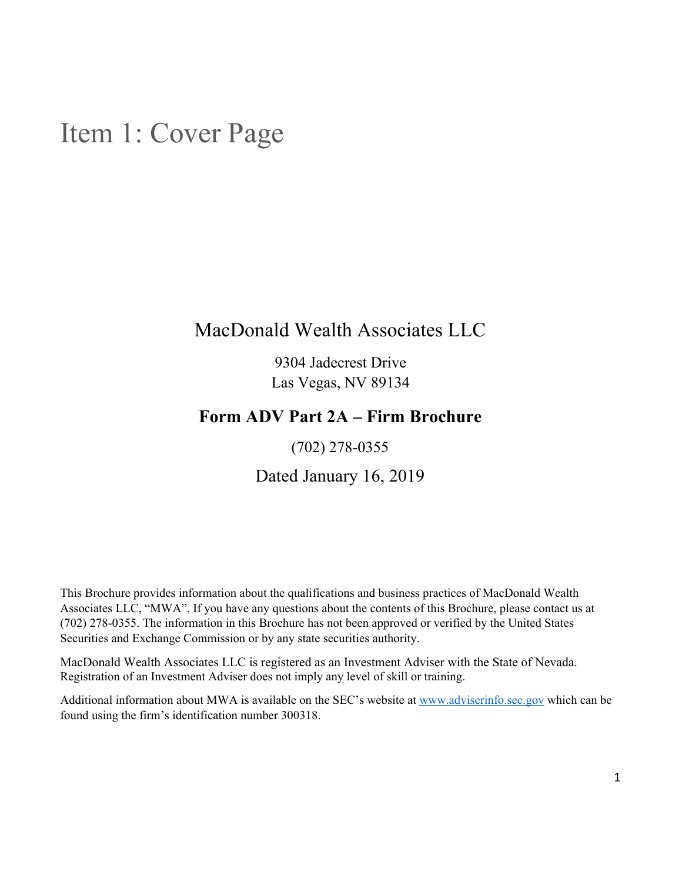## <span id="page-0-0"></span>Item 1: Cover Page

## MacDonald Wealth Associates LLC

9304 Jadecrest Drive Las Vegas, NV 89134

## **Form ADV Part 2A – Firm Brochure**

(702) 278-0355

Dated January 16, 2019

This Brochure provides information about the qualifications and business practices of MacDonald Wealth Associates LLC, "MWA". If you have any questions about the contents of this Brochure, please contact us at (702) 278-0355. The information in this Brochure has not been approved or verified by the United States Securities and Exchange Commission or by any state securities authority.

MacDonald Wealth Associates LLC is registered as an Investment Adviser with the State of Nevada. Registration of an Investment Adviser does not imply any level of skill or training.

Additional information about MWA is available on the SEC's website at [www.adviserinfo.sec.gov](http://www.adviserinfo.sec.gov/) which can be found using the firm's identification number 300318.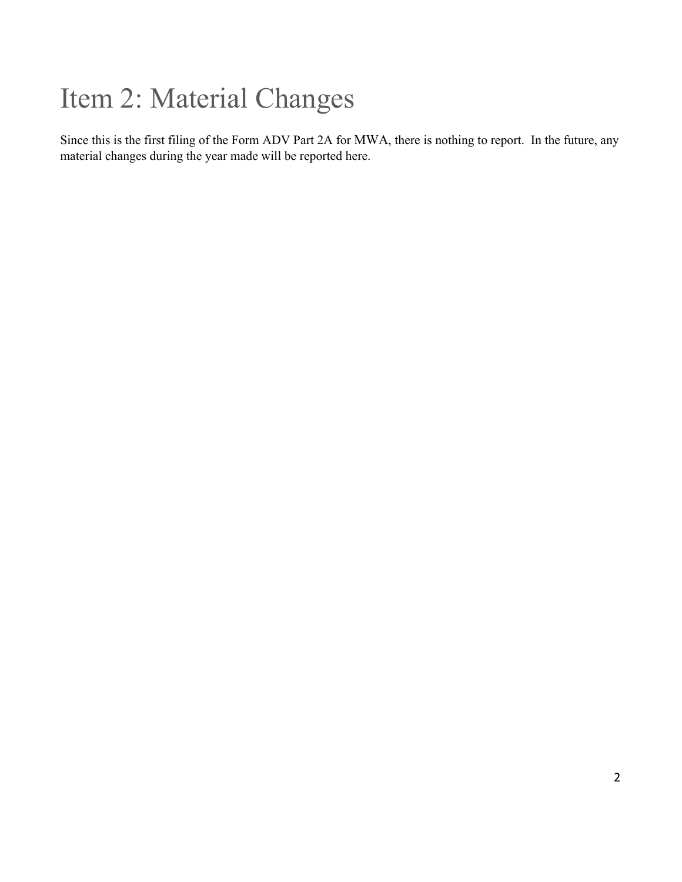# <span id="page-1-0"></span>Item 2: Material Changes

Since this is the first filing of the Form ADV Part 2A for MWA, there is nothing to report. In the future, any material changes during the year made will be reported here.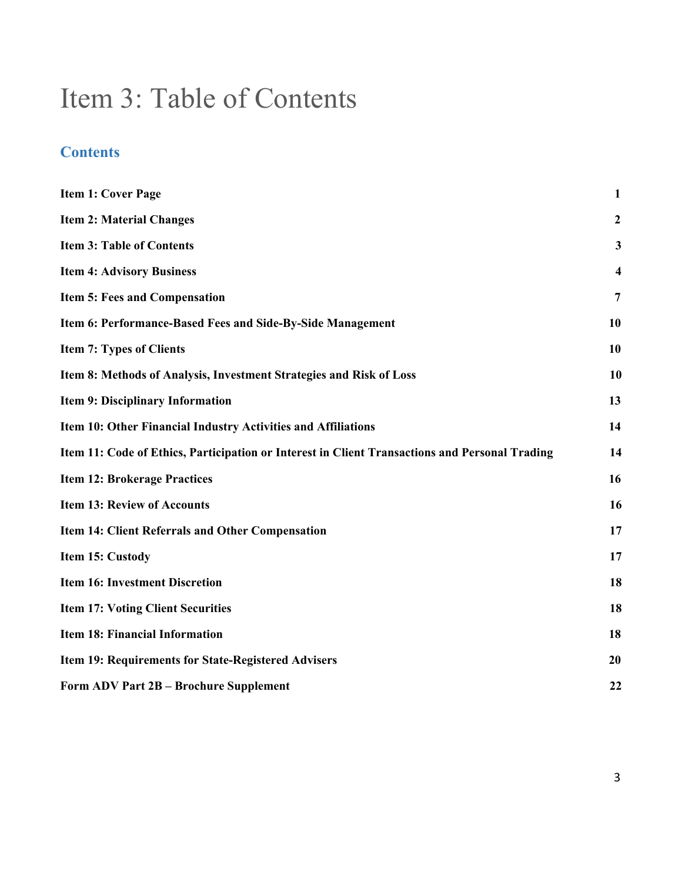## <span id="page-2-0"></span>Item 3: Table of Contents

## **Contents**

| <b>Item 1: Cover Page</b>                                                                      | $\mathbf{1}$     |
|------------------------------------------------------------------------------------------------|------------------|
| <b>Item 2: Material Changes</b>                                                                | $\boldsymbol{2}$ |
| <b>Item 3: Table of Contents</b>                                                               | 3                |
| <b>Item 4: Advisory Business</b>                                                               | 4                |
| Item 5: Fees and Compensation                                                                  | 7                |
| Item 6: Performance-Based Fees and Side-By-Side Management                                     | 10               |
| <b>Item 7: Types of Clients</b>                                                                | 10               |
| Item 8: Methods of Analysis, Investment Strategies and Risk of Loss                            | 10               |
| <b>Item 9: Disciplinary Information</b>                                                        | 13               |
| Item 10: Other Financial Industry Activities and Affiliations                                  | 14               |
| Item 11: Code of Ethics, Participation or Interest in Client Transactions and Personal Trading | 14               |
| <b>Item 12: Brokerage Practices</b>                                                            | 16               |
| <b>Item 13: Review of Accounts</b>                                                             | 16               |
| <b>Item 14: Client Referrals and Other Compensation</b>                                        | 17               |
| Item 15: Custody                                                                               | 17               |
| <b>Item 16: Investment Discretion</b>                                                          | 18               |
| <b>Item 17: Voting Client Securities</b>                                                       | 18               |
| <b>Item 18: Financial Information</b>                                                          | 18               |
| Item 19: Requirements for State-Registered Advisers                                            | 20               |
| Form ADV Part 2B - Brochure Supplement                                                         | 22               |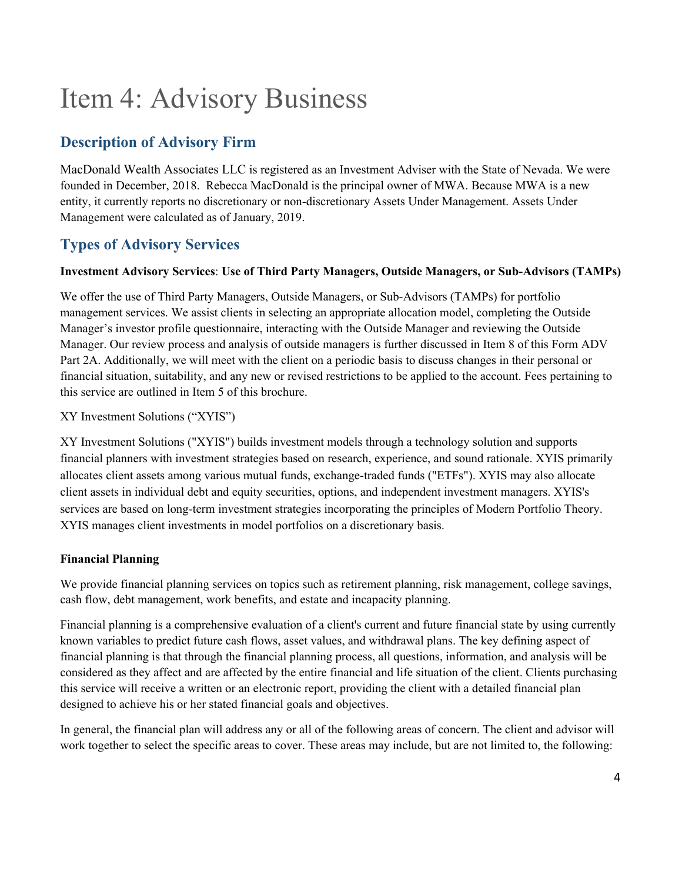# <span id="page-3-0"></span>Item 4: Advisory Business

## **Description of Advisory Firm**

MacDonald Wealth Associates LLC is registered as an Investment Adviser with the State of Nevada. We were founded in December, 2018. Rebecca MacDonald is the principal owner of MWA. Because MWA is a new entity, it currently reports no discretionary or non-discretionary Assets Under Management. Assets Under Management were calculated as of January, 2019.

## **Types of Advisory Services**

#### **Investment Advisory Services**: **Use of Third Party Managers, Outside Managers, or Sub-Advisors (TAMPs)**

We offer the use of Third Party Managers, Outside Managers, or Sub-Advisors (TAMPs) for portfolio management services. We assist clients in selecting an appropriate allocation model, completing the Outside Manager's investor profile questionnaire, interacting with the Outside Manager and reviewing the Outside Manager. Our review process and analysis of outside managers is further discussed in Item 8 of this Form ADV Part 2A. Additionally, we will meet with the client on a periodic basis to discuss changes in their personal or financial situation, suitability, and any new or revised restrictions to be applied to the account. Fees pertaining to this service are outlined in Item 5 of this brochure.

#### XY Investment Solutions ("XYIS")

XY Investment Solutions ("XYIS") builds investment models through a technology solution and supports financial planners with investment strategies based on research, experience, and sound rationale. XYIS primarily allocates client assets among various mutual funds, exchange-traded funds ("ETFs"). XYIS may also allocate client assets in individual debt and equity securities, options, and independent investment managers. XYIS's services are based on long-term investment strategies incorporating the principles of Modern Portfolio Theory. XYIS manages client investments in model portfolios on a discretionary basis.

#### **Financial Planning**

We provide financial planning services on topics such as retirement planning, risk management, college savings, cash flow, debt management, work benefits, and estate and incapacity planning.

Financial planning is a comprehensive evaluation of a client's current and future financial state by using currently known variables to predict future cash flows, asset values, and withdrawal plans. The key defining aspect of financial planning is that through the financial planning process, all questions, information, and analysis will be considered as they affect and are affected by the entire financial and life situation of the client. Clients purchasing this service will receive a written or an electronic report, providing the client with a detailed financial plan designed to achieve his or her stated financial goals and objectives.

In general, the financial plan will address any or all of the following areas of concern. The client and advisor will work together to select the specific areas to cover. These areas may include, but are not limited to, the following: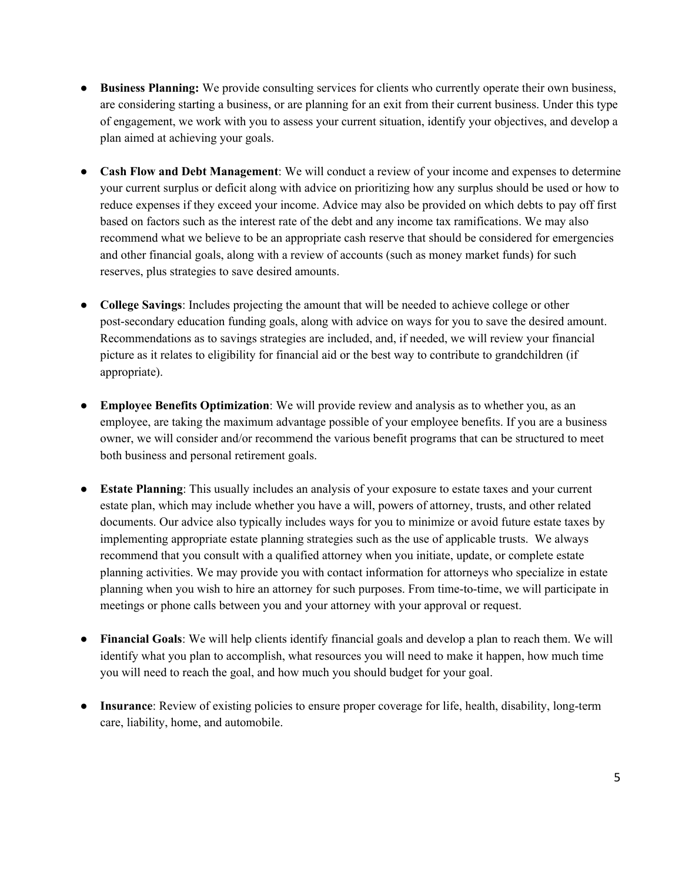- **Business Planning:** We provide consulting services for clients who currently operate their own business, are considering starting a business, or are planning for an exit from their current business. Under this type of engagement, we work with you to assess your current situation, identify your objectives, and develop a plan aimed at achieving your goals.
- **Cash Flow and Debt Management**: We will conduct a review of your income and expenses to determine your current surplus or deficit along with advice on prioritizing how any surplus should be used or how to reduce expenses if they exceed your income. Advice may also be provided on which debts to pay off first based on factors such as the interest rate of the debt and any income tax ramifications. We may also recommend what we believe to be an appropriate cash reserve that should be considered for emergencies and other financial goals, along with a review of accounts (such as money market funds) for such reserves, plus strategies to save desired amounts.
- **College Savings**: Includes projecting the amount that will be needed to achieve college or other post-secondary education funding goals, along with advice on ways for you to save the desired amount. Recommendations as to savings strategies are included, and, if needed, we will review your financial picture as it relates to eligibility for financial aid or the best way to contribute to grandchildren (if appropriate).
- **Employee Benefits Optimization**: We will provide review and analysis as to whether you, as an employee, are taking the maximum advantage possible of your employee benefits. If you are a business owner, we will consider and/or recommend the various benefit programs that can be structured to meet both business and personal retirement goals.
- **Estate Planning**: This usually includes an analysis of your exposure to estate taxes and your current estate plan, which may include whether you have a will, powers of attorney, trusts, and other related documents. Our advice also typically includes ways for you to minimize or avoid future estate taxes by implementing appropriate estate planning strategies such as the use of applicable trusts. We always recommend that you consult with a qualified attorney when you initiate, update, or complete estate planning activities. We may provide you with contact information for attorneys who specialize in estate planning when you wish to hire an attorney for such purposes. From time-to-time, we will participate in meetings or phone calls between you and your attorney with your approval or request.
- **Financial Goals**: We will help clients identify financial goals and develop a plan to reach them. We will identify what you plan to accomplish, what resources you will need to make it happen, how much time you will need to reach the goal, and how much you should budget for your goal.
- **Insurance**: Review of existing policies to ensure proper coverage for life, health, disability, long-term care, liability, home, and automobile.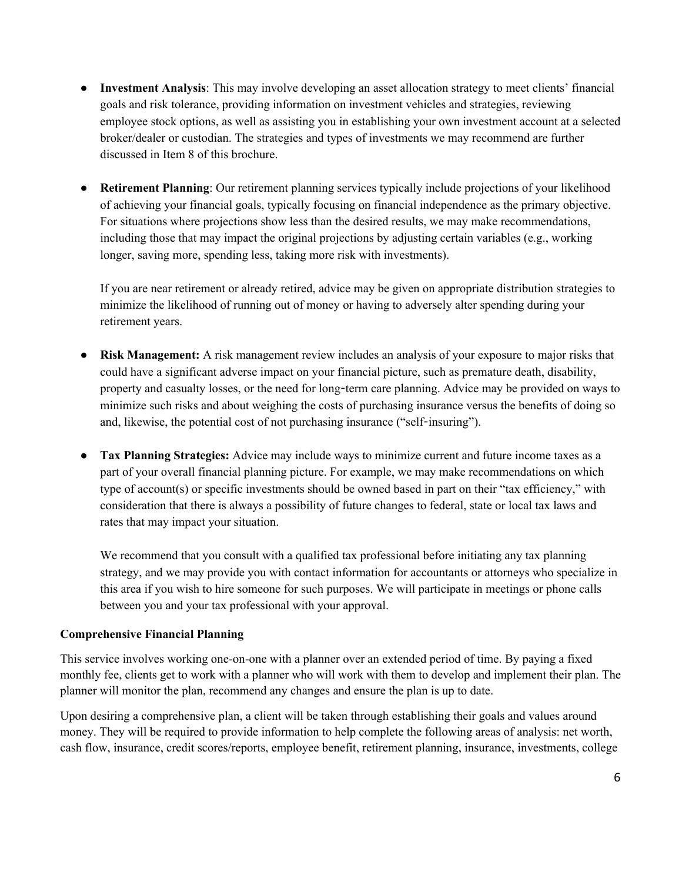- **Investment Analysis**: This may involve developing an asset allocation strategy to meet clients' financial goals and risk tolerance, providing information on investment vehicles and strategies, reviewing employee stock options, as well as assisting you in establishing your own investment account at a selected broker/dealer or custodian. The strategies and types of investments we may recommend are further discussed in Item 8 of this brochure.
- **Retirement Planning**: Our retirement planning services typically include projections of your likelihood of achieving your financial goals, typically focusing on financial independence as the primary objective. For situations where projections show less than the desired results, we may make recommendations, including those that may impact the original projections by adjusting certain variables (e.g., working longer, saving more, spending less, taking more risk with investments).

If you are near retirement or already retired, advice may be given on appropriate distribution strategies to minimize the likelihood of running out of money or having to adversely alter spending during your retirement years.

- **Risk Management:** A risk management review includes an analysis of your exposure to major risks that could have a significant adverse impact on your financial picture, such as premature death, disability, property and casualty losses, or the need for long-term care planning. Advice may be provided on ways to minimize such risks and about weighing the costs of purchasing insurance versus the benefits of doing so and, likewise, the potential cost of not purchasing insurance ("self-insuring").
- **Tax Planning Strategies:** Advice may include ways to minimize current and future income taxes as a part of your overall financial planning picture. For example, we may make recommendations on which type of account(s) or specific investments should be owned based in part on their "tax efficiency," with consideration that there is always a possibility of future changes to federal, state or local tax laws and rates that may impact your situation.

We recommend that you consult with a qualified tax professional before initiating any tax planning strategy, and we may provide you with contact information for accountants or attorneys who specialize in this area if you wish to hire someone for such purposes. We will participate in meetings or phone calls between you and your tax professional with your approval.

#### **Comprehensive Financial Planning**

This service involves working one-on-one with a planner over an extended period of time. By paying a fixed monthly fee, clients get to work with a planner who will work with them to develop and implement their plan. The planner will monitor the plan, recommend any changes and ensure the plan is up to date.

Upon desiring a comprehensive plan, a client will be taken through establishing their goals and values around money. They will be required to provide information to help complete the following areas of analysis: net worth, cash flow, insurance, credit scores/reports, employee benefit, retirement planning, insurance, investments, college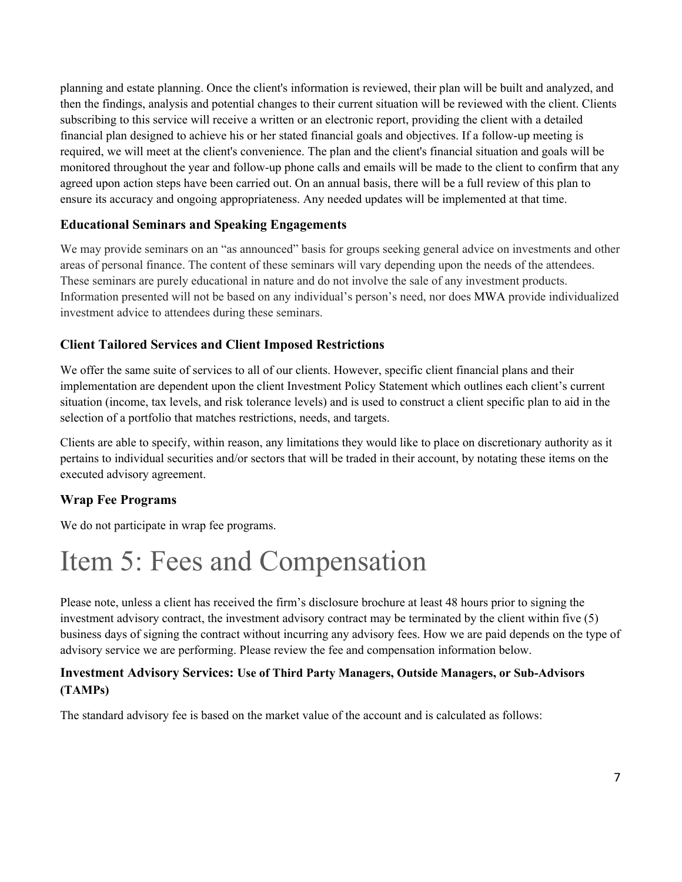planning and estate planning. Once the client's information is reviewed, their plan will be built and analyzed, and then the findings, analysis and potential changes to their current situation will be reviewed with the client. Clients subscribing to this service will receive a written or an electronic report, providing the client with a detailed financial plan designed to achieve his or her stated financial goals and objectives. If a follow-up meeting is required, we will meet at the client's convenience. The plan and the client's financial situation and goals will be monitored throughout the year and follow-up phone calls and emails will be made to the client to confirm that any agreed upon action steps have been carried out. On an annual basis, there will be a full review of this plan to ensure its accuracy and ongoing appropriateness. Any needed updates will be implemented at that time.

#### **Educational Seminars and Speaking Engagements**

We may provide seminars on an "as announced" basis for groups seeking general advice on investments and other areas of personal finance. The content of these seminars will vary depending upon the needs of the attendees. These seminars are purely educational in nature and do not involve the sale of any investment products. Information presented will not be based on any individual's person's need, nor does MWA provide individualized investment advice to attendees during these seminars.

#### **Client Tailored Services and Client Imposed Restrictions**

We offer the same suite of services to all of our clients. However, specific client financial plans and their implementation are dependent upon the client Investment Policy Statement which outlines each client's current situation (income, tax levels, and risk tolerance levels) and is used to construct a client specific plan to aid in the selection of a portfolio that matches restrictions, needs, and targets.

Clients are able to specify, within reason, any limitations they would like to place on discretionary authority as it pertains to individual securities and/or sectors that will be traded in their account, by notating these items on the executed advisory agreement.

#### **Wrap Fee Programs**

We do not participate in wrap fee programs.

## <span id="page-6-0"></span>Item 5: Fees and Compensation

Please note, unless a client has received the firm's disclosure brochure at least 48 hours prior to signing the investment advisory contract, the investment advisory contract may be terminated by the client within five (5) business days of signing the contract without incurring any advisory fees. How we are paid depends on the type of advisory service we are performing. Please review the fee and compensation information below.

#### **Investment Advisory Services: Use of Third Party Managers, Outside Managers, or Sub-Advisors (TAMPs)**

The standard advisory fee is based on the market value of the account and is calculated as follows: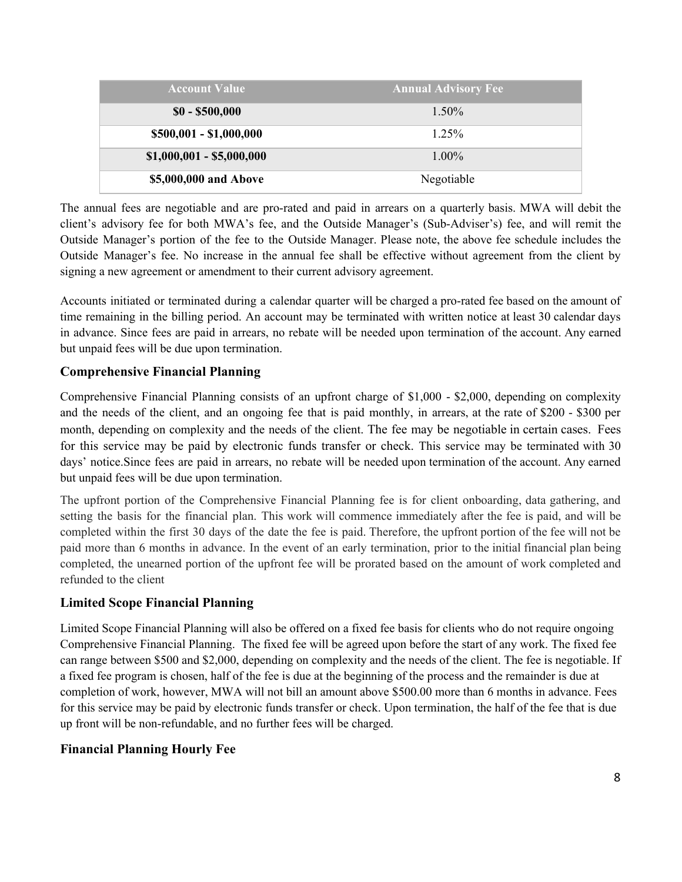| <b>Account Value</b>      | <b>Annual Advisory Fee</b> |
|---------------------------|----------------------------|
| $$0 - $500,000$           | $1.50\%$                   |
| \$500,001 - \$1,000,000   | $1.25\%$                   |
| $$1,000,001 - $5,000,000$ | $1.00\%$                   |
| \$5,000,000 and Above     | Negotiable                 |

The annual fees are negotiable and are pro-rated and paid in arrears on a quarterly basis. MWA will debit the client's advisory fee for both MWA's fee, and the Outside Manager's (Sub-Adviser's) fee, and will remit the Outside Manager's portion of the fee to the Outside Manager. Please note, the above fee schedule includes the Outside Manager's fee. No increase in the annual fee shall be effective without agreement from the client by signing a new agreement or amendment to their current advisory agreement.

Accounts initiated or terminated during a calendar quarter will be charged a pro-rated fee based on the amount of time remaining in the billing period. An account may be terminated with written notice at least 30 calendar days in advance. Since fees are paid in arrears, no rebate will be needed upon termination of the account. Any earned but unpaid fees will be due upon termination.

#### **Comprehensive Financial Planning**

Comprehensive Financial Planning consists of an upfront charge of \$1,000 - \$2,000, depending on complexity and the needs of the client, and an ongoing fee that is paid monthly, in arrears, at the rate of \$200 - \$300 per month, depending on complexity and the needs of the client. The fee may be negotiable in certain cases. Fees for this service may be paid by electronic funds transfer or check. This service may be terminated with 30 days' notice.Since fees are paid in arrears, no rebate will be needed upon termination of the account. Any earned but unpaid fees will be due upon termination.

The upfront portion of the Comprehensive Financial Planning fee is for client onboarding, data gathering, and setting the basis for the financial plan. This work will commence immediately after the fee is paid, and will be completed within the first 30 days of the date the fee is paid. Therefore, the upfront portion of the fee will not be paid more than 6 months in advance. In the event of an early termination, prior to the initial financial plan being completed, the unearned portion of the upfront fee will be prorated based on the amount of work completed and refunded to the client

#### **Limited Scope Financial Planning**

Limited Scope Financial Planning will also be offered on a fixed fee basis for clients who do not require ongoing Comprehensive Financial Planning. The fixed fee will be agreed upon before the start of any work. The fixed fee can range between \$500 and \$2,000, depending on complexity and the needs of the client. The fee is negotiable. If a fixed fee program is chosen, half of the fee is due at the beginning of the process and the remainder is due at completion of work, however, MWA will not bill an amount above \$500.00 more than 6 months in advance. Fees for this service may be paid by electronic funds transfer or check. Upon termination, the half of the fee that is due up front will be non-refundable, and no further fees will be charged.

#### **Financial Planning Hourly Fee**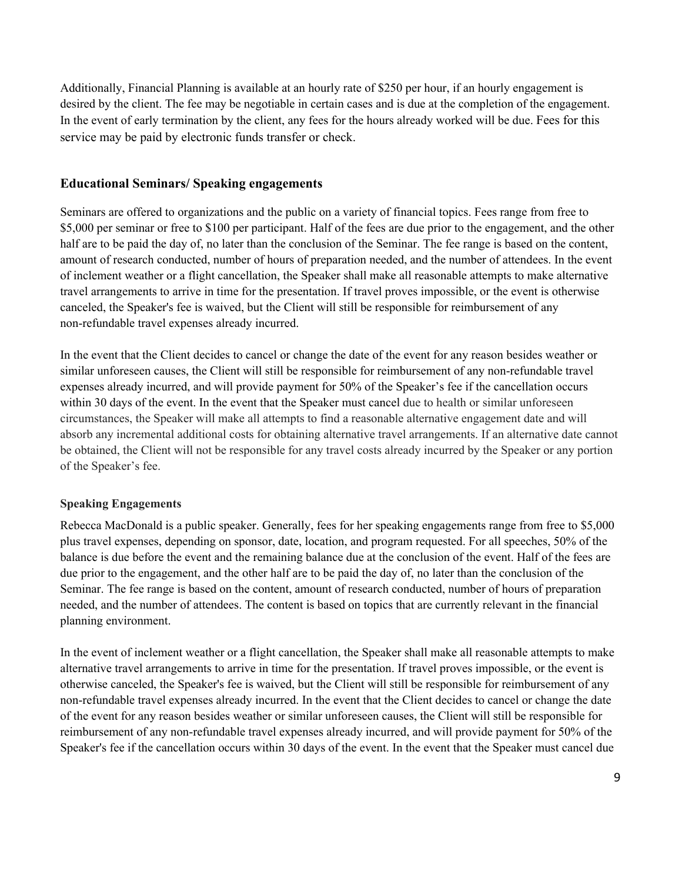Additionally, Financial Planning is available at an hourly rate of \$250 per hour, if an hourly engagement is desired by the client. The fee may be negotiable in certain cases and is due at the completion of the engagement. In the event of early termination by the client, any fees for the hours already worked will be due. Fees for this service may be paid by electronic funds transfer or check.

#### **Educational Seminars/ Speaking engagements**

Seminars are offered to organizations and the public on a variety of financial topics. Fees range from free to \$5,000 per seminar or free to \$100 per participant. Half of the fees are due prior to the engagement, and the other half are to be paid the day of, no later than the conclusion of the Seminar. The fee range is based on the content, amount of research conducted, number of hours of preparation needed, and the number of attendees. In the event of inclement weather or a flight cancellation, the Speaker shall make all reasonable attempts to make alternative travel arrangements to arrive in time for the presentation. If travel proves impossible, or the event is otherwise canceled, the Speaker's fee is waived, but the Client will still be responsible for reimbursement of any non-refundable travel expenses already incurred.

In the event that the Client decides to cancel or change the date of the event for any reason besides weather or similar unforeseen causes, the Client will still be responsible for reimbursement of any non-refundable travel expenses already incurred, and will provide payment for 50% of the Speaker's fee if the cancellation occurs within 30 days of the event. In the event that the Speaker must cancel due to health or similar unforeseen circumstances, the Speaker will make all attempts to find a reasonable alternative engagement date and will absorb any incremental additional costs for obtaining alternative travel arrangements. If an alternative date cannot be obtained, the Client will not be responsible for any travel costs already incurred by the Speaker or any portion of the Speaker's fee.

#### **Speaking Engagements**

Rebecca MacDonald is a public speaker. Generally, fees for her speaking engagements range from free to \$5,000 plus travel expenses, depending on sponsor, date, location, and program requested. For all speeches, 50% of the balance is due before the event and the remaining balance due at the conclusion of the event. Half of the fees are due prior to the engagement, and the other half are to be paid the day of, no later than the conclusion of the Seminar. The fee range is based on the content, amount of research conducted, number of hours of preparation needed, and the number of attendees. The content is based on topics that are currently relevant in the financial planning environment.

In the event of inclement weather or a flight cancellation, the Speaker shall make all reasonable attempts to make alternative travel arrangements to arrive in time for the presentation. If travel proves impossible, or the event is otherwise canceled, the Speaker's fee is waived, but the Client will still be responsible for reimbursement of any non-refundable travel expenses already incurred. In the event that the Client decides to cancel or change the date of the event for any reason besides weather or similar unforeseen causes, the Client will still be responsible for reimbursement of any non-refundable travel expenses already incurred, and will provide payment for 50% of the Speaker's fee if the cancellation occurs within 30 days of the event. In the event that the Speaker must cancel due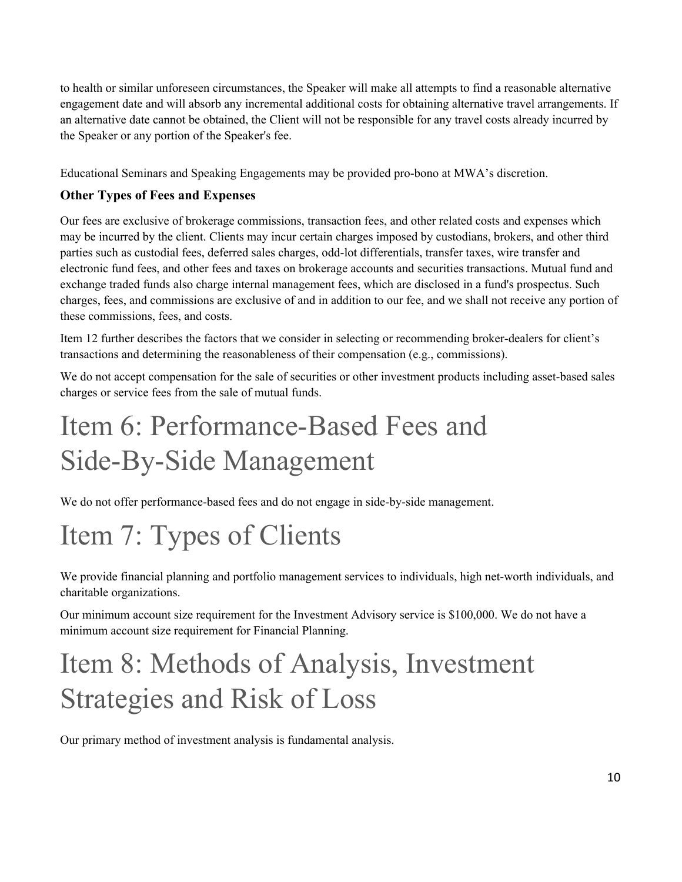to health or similar unforeseen circumstances, the Speaker will make all attempts to find a reasonable alternative engagement date and will absorb any incremental additional costs for obtaining alternative travel arrangements. If an alternative date cannot be obtained, the Client will not be responsible for any travel costs already incurred by the Speaker or any portion of the Speaker's fee.

Educational Seminars and Speaking Engagements may be provided pro-bono at MWA's discretion.

#### **Other Types of Fees and Expenses**

Our fees are exclusive of brokerage commissions, transaction fees, and other related costs and expenses which may be incurred by the client. Clients may incur certain charges imposed by custodians, brokers, and other third parties such as custodial fees, deferred sales charges, odd-lot differentials, transfer taxes, wire transfer and electronic fund fees, and other fees and taxes on brokerage accounts and securities transactions. Mutual fund and exchange traded funds also charge internal management fees, which are disclosed in a fund's prospectus. Such charges, fees, and commissions are exclusive of and in addition to our fee, and we shall not receive any portion of these commissions, fees, and costs.

Item 12 further describes the factors that we consider in selecting or recommending broker-dealers for client's transactions and determining the reasonableness of their compensation (e.g., commissions).

We do not accept compensation for the sale of securities or other investment products including asset-based sales charges or service fees from the sale of mutual funds.

# <span id="page-9-0"></span>Item 6: Performance-Based Fees and Side-By-Side Management

We do not offer performance-based fees and do not engage in side-by-side management.

# <span id="page-9-1"></span>Item 7: Types of Clients

We provide financial planning and portfolio management services to individuals, high net-worth individuals, and charitable organizations.

Our minimum account size requirement for the Investment Advisory service is \$100,000. We do not have a minimum account size requirement for Financial Planning.

# <span id="page-9-2"></span>Item 8: Methods of Analysis, Investment Strategies and Risk of Loss

Our primary method of investment analysis is fundamental analysis.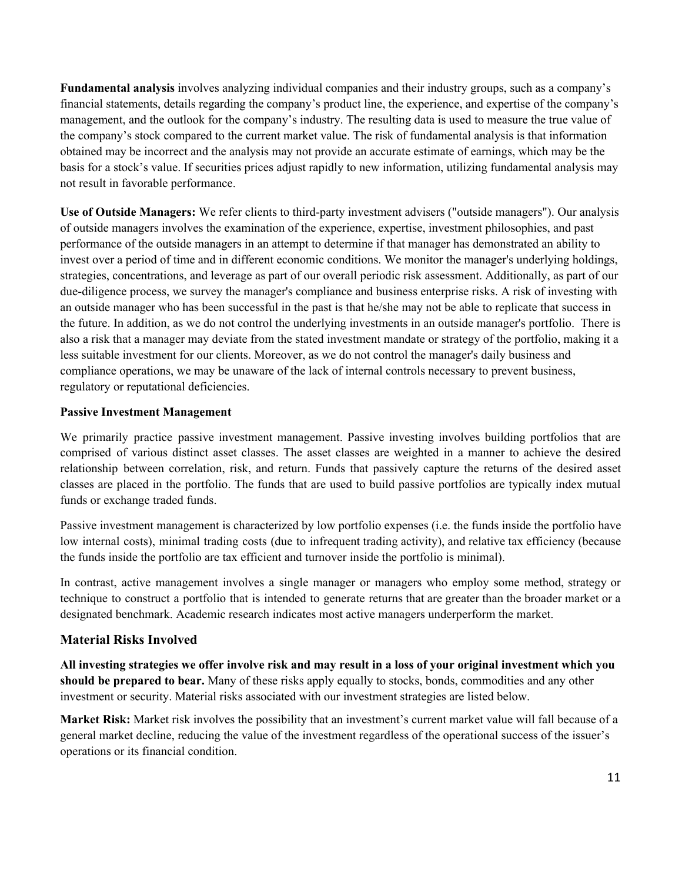**Fundamental analysis** involves analyzing individual companies and their industry groups, such as a company's financial statements, details regarding the company's product line, the experience, and expertise of the company's management, and the outlook for the company's industry. The resulting data is used to measure the true value of the company's stock compared to the current market value. The risk of fundamental analysis is that information obtained may be incorrect and the analysis may not provide an accurate estimate of earnings, which may be the basis for a stock's value. If securities prices adjust rapidly to new information, utilizing fundamental analysis may not result in favorable performance.

**Use of Outside Managers:** We refer clients to third-party investment advisers ("outside managers"). Our analysis of outside managers involves the examination of the experience, expertise, investment philosophies, and past performance of the outside managers in an attempt to determine if that manager has demonstrated an ability to invest over a period of time and in different economic conditions. We monitor the manager's underlying holdings, strategies, concentrations, and leverage as part of our overall periodic risk assessment. Additionally, as part of our due-diligence process, we survey the manager's compliance and business enterprise risks. A risk of investing with an outside manager who has been successful in the past is that he/she may not be able to replicate that success in the future. In addition, as we do not control the underlying investments in an outside manager's portfolio. There is also a risk that a manager may deviate from the stated investment mandate or strategy of the portfolio, making it a less suitable investment for our clients. Moreover, as we do not control the manager's daily business and compliance operations, we may be unaware of the lack of internal controls necessary to prevent business, regulatory or reputational deficiencies.

#### **Passive Investment Management**

We primarily practice passive investment management. Passive investing involves building portfolios that are comprised of various distinct asset classes. The asset classes are weighted in a manner to achieve the desired relationship between correlation, risk, and return. Funds that passively capture the returns of the desired asset classes are placed in the portfolio. The funds that are used to build passive portfolios are typically index mutual funds or exchange traded funds.

Passive investment management is characterized by low portfolio expenses (i.e. the funds inside the portfolio have low internal costs), minimal trading costs (due to infrequent trading activity), and relative tax efficiency (because the funds inside the portfolio are tax efficient and turnover inside the portfolio is minimal).

In contrast, active management involves a single manager or managers who employ some method, strategy or technique to construct a portfolio that is intended to generate returns that are greater than the broader market or a designated benchmark. Academic research indicates most active managers underperform the market.

#### **Material Risks Involved**

All investing strategies we offer involve risk and may result in a loss of your original investment which you **should be prepared to bear.** Many of these risks apply equally to stocks, bonds, commodities and any other investment or security. Material risks associated with our investment strategies are listed below.

**Market Risk:** Market risk involves the possibility that an investment's current market value will fall because of a general market decline, reducing the value of the investment regardless of the operational success of the issuer's operations or its financial condition.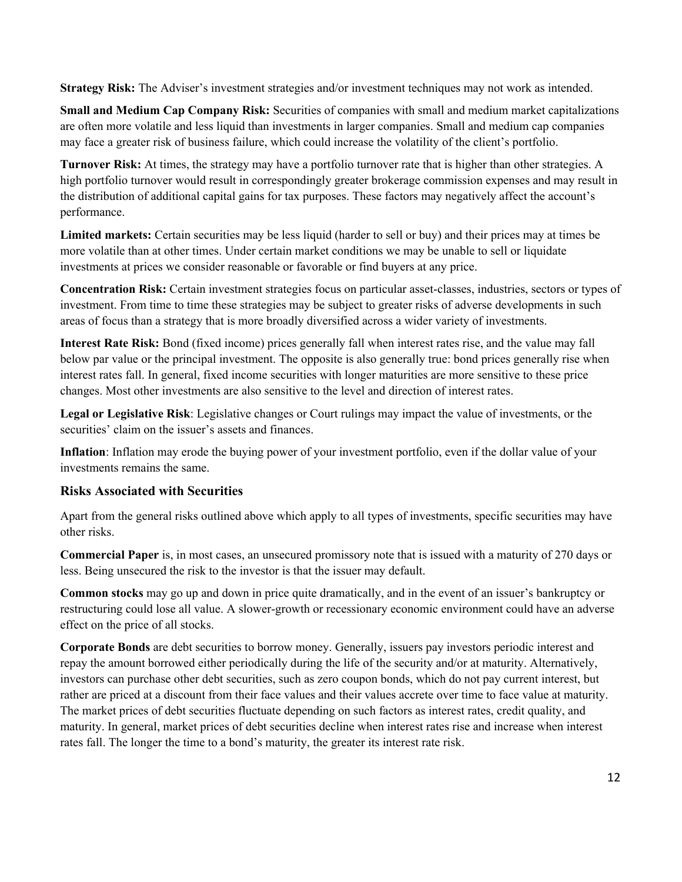**Strategy Risk:** The Adviser's investment strategies and/or investment techniques may not work as intended.

**Small and Medium Cap Company Risk:** Securities of companies with small and medium market capitalizations are often more volatile and less liquid than investments in larger companies. Small and medium cap companies may face a greater risk of business failure, which could increase the volatility of the client's portfolio.

**Turnover Risk:** At times, the strategy may have a portfolio turnover rate that is higher than other strategies. A high portfolio turnover would result in correspondingly greater brokerage commission expenses and may result in the distribution of additional capital gains for tax purposes. These factors may negatively affect the account's performance.

**Limited markets:** Certain securities may be less liquid (harder to sell or buy) and their prices may at times be more volatile than at other times. Under certain market conditions we may be unable to sell or liquidate investments at prices we consider reasonable or favorable or find buyers at any price.

**Concentration Risk:** Certain investment strategies focus on particular asset-classes, industries, sectors or types of investment. From time to time these strategies may be subject to greater risks of adverse developments in such areas of focus than a strategy that is more broadly diversified across a wider variety of investments.

**Interest Rate Risk:** Bond (fixed income) prices generally fall when interest rates rise, and the value may fall below par value or the principal investment. The opposite is also generally true: bond prices generally rise when interest rates fall. In general, fixed income securities with longer maturities are more sensitive to these price changes. Most other investments are also sensitive to the level and direction of interest rates.

**Legal or Legislative Risk**: Legislative changes or Court rulings may impact the value of investments, or the securities' claim on the issuer's assets and finances.

**Inflation**: Inflation may erode the buying power of your investment portfolio, even if the dollar value of your investments remains the same.

#### **Risks Associated with Securities**

Apart from the general risks outlined above which apply to all types of investments, specific securities may have other risks.

**Commercial Paper** is, in most cases, an unsecured promissory note that is issued with a maturity of 270 days or less. Being unsecured the risk to the investor is that the issuer may default.

**Common stocks** may go up and down in price quite dramatically, and in the event of an issuer's bankruptcy or restructuring could lose all value. A slower-growth or recessionary economic environment could have an adverse effect on the price of all stocks.

**Corporate Bonds** are debt securities to borrow money. Generally, issuers pay investors periodic interest and repay the amount borrowed either periodically during the life of the security and/or at maturity. Alternatively, investors can purchase other debt securities, such as zero coupon bonds, which do not pay current interest, but rather are priced at a discount from their face values and their values accrete over time to face value at maturity. The market prices of debt securities fluctuate depending on such factors as interest rates, credit quality, and maturity. In general, market prices of debt securities decline when interest rates rise and increase when interest rates fall. The longer the time to a bond's maturity, the greater its interest rate risk.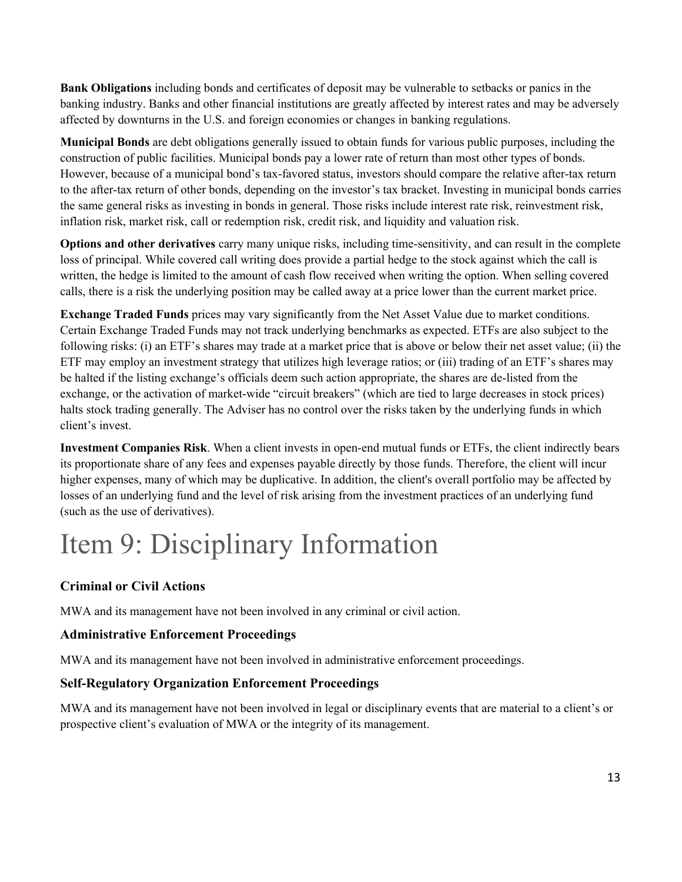**Bank Obligations** including bonds and certificates of deposit may be vulnerable to setbacks or panics in the banking industry. Banks and other financial institutions are greatly affected by interest rates and may be adversely affected by downturns in the U.S. and foreign economies or changes in banking regulations.

**Municipal Bonds** are debt obligations generally issued to obtain funds for various public purposes, including the construction of public facilities. Municipal bonds pay a lower rate of return than most other types of bonds. However, because of a municipal bond's tax-favored status, investors should compare the relative after-tax return to the after-tax return of other bonds, depending on the investor's tax bracket. Investing in municipal bonds carries the same general risks as investing in bonds in general. Those risks include interest rate risk, reinvestment risk, inflation risk, market risk, call or redemption risk, credit risk, and liquidity and valuation risk.

**Options and other derivatives** carry many unique risks, including time-sensitivity, and can result in the complete loss of principal. While covered call writing does provide a partial hedge to the stock against which the call is written, the hedge is limited to the amount of cash flow received when writing the option. When selling covered calls, there is a risk the underlying position may be called away at a price lower than the current market price.

**Exchange Traded Funds** prices may vary significantly from the Net Asset Value due to market conditions. Certain Exchange Traded Funds may not track underlying benchmarks as expected. ETFs are also subject to the following risks: (i) an ETF's shares may trade at a market price that is above or below their net asset value; (ii) the ETF may employ an investment strategy that utilizes high leverage ratios; or (iii) trading of an ETF's shares may be halted if the listing exchange's officials deem such action appropriate, the shares are de-listed from the exchange, or the activation of market-wide "circuit breakers" (which are tied to large decreases in stock prices) halts stock trading generally. The Adviser has no control over the risks taken by the underlying funds in which client's invest.

**Investment Companies Risk**. When a client invests in open-end mutual funds or ETFs, the client indirectly bears its proportionate share of any fees and expenses payable directly by those funds. Therefore, the client will incur higher expenses, many of which may be duplicative. In addition, the client's overall portfolio may be affected by losses of an underlying fund and the level of risk arising from the investment practices of an underlying fund (such as the use of derivatives).

# <span id="page-12-0"></span>Item 9: Disciplinary Information

### **Criminal or Civil Actions**

MWA and its management have not been involved in any criminal or civil action.

#### **Administrative Enforcement Proceedings**

MWA and its management have not been involved in administrative enforcement proceedings.

#### **Self-Regulatory Organization Enforcement Proceedings**

MWA and its management have not been involved in legal or disciplinary events that are material to a client's or prospective client's evaluation of MWA or the integrity of its management.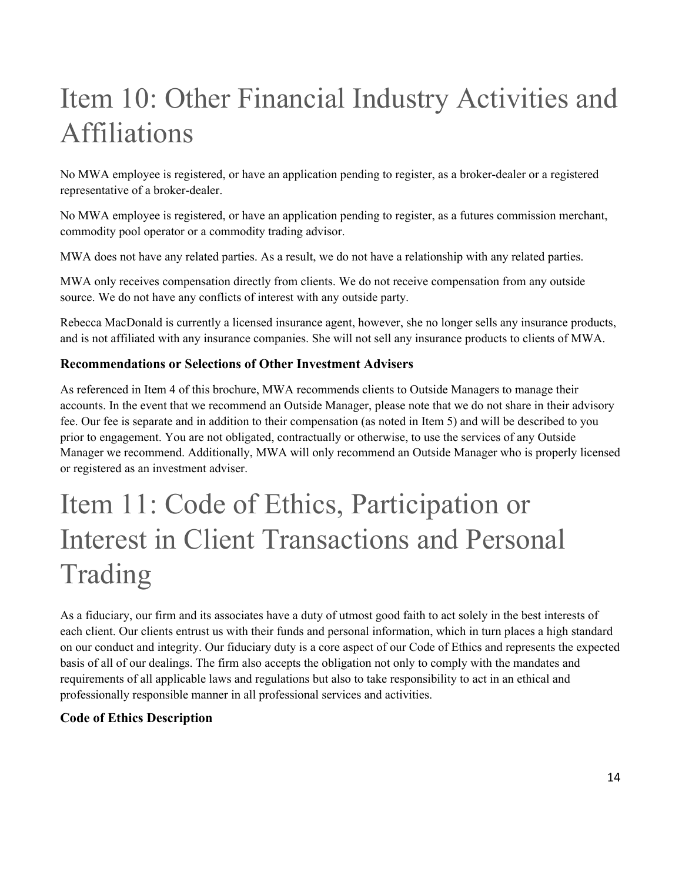# <span id="page-13-0"></span>Item 10: Other Financial Industry Activities and Affiliations

No MWA employee is registered, or have an application pending to register, as a broker-dealer or a registered representative of a broker-dealer.

No MWA employee is registered, or have an application pending to register, as a futures commission merchant, commodity pool operator or a commodity trading advisor.

MWA does not have any related parties. As a result, we do not have a relationship with any related parties.

MWA only receives compensation directly from clients. We do not receive compensation from any outside source. We do not have any conflicts of interest with any outside party.

Rebecca MacDonald is currently a licensed insurance agent, however, she no longer sells any insurance products, and is not affiliated with any insurance companies. She will not sell any insurance products to clients of MWA.

#### **Recommendations or Selections of Other Investment Advisers**

As referenced in Item 4 of this brochure, MWA recommends clients to Outside Managers to manage their accounts. In the event that we recommend an Outside Manager, please note that we do not share in their advisory fee. Our fee is separate and in addition to their compensation (as noted in Item 5) and will be described to you prior to engagement. You are not obligated, contractually or otherwise, to use the services of any Outside Manager we recommend. Additionally, MWA will only recommend an Outside Manager who is properly licensed or registered as an investment adviser.

# <span id="page-13-1"></span>Item 11: Code of Ethics, Participation or Interest in Client Transactions and Personal Trading

As a fiduciary, our firm and its associates have a duty of utmost good faith to act solely in the best interests of each client. Our clients entrust us with their funds and personal information, which in turn places a high standard on our conduct and integrity. Our fiduciary duty is a core aspect of our Code of Ethics and represents the expected basis of all of our dealings. The firm also accepts the obligation not only to comply with the mandates and requirements of all applicable laws and regulations but also to take responsibility to act in an ethical and professionally responsible manner in all professional services and activities.

#### **Code of Ethics Description**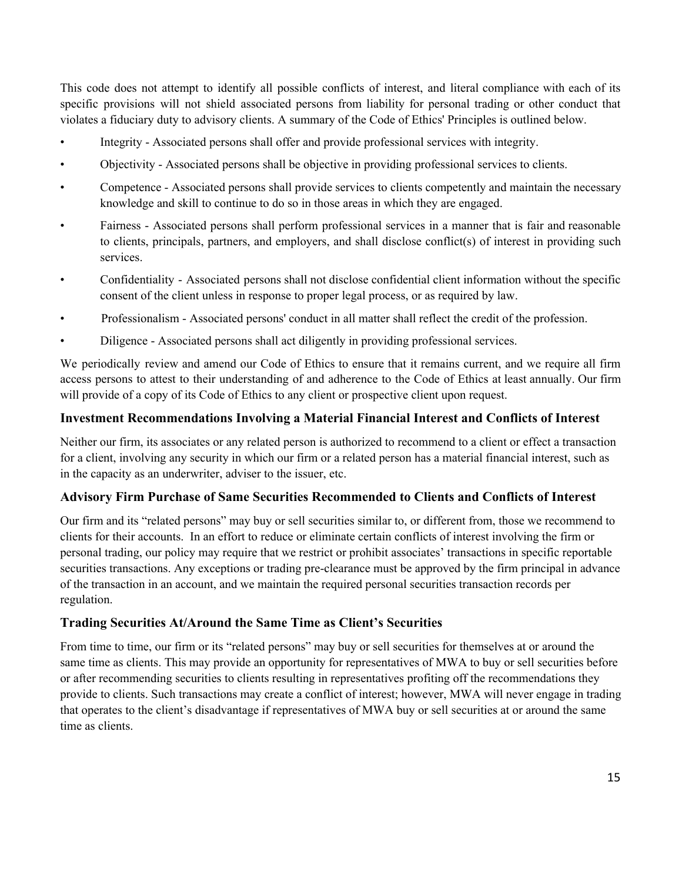This code does not attempt to identify all possible conflicts of interest, and literal compliance with each of its specific provisions will not shield associated persons from liability for personal trading or other conduct that violates a fiduciary duty to advisory clients. A summary of the Code of Ethics' Principles is outlined below.

- Integrity Associated persons shall offer and provide professional services with integrity.
- Objectivity Associated persons shall be objective in providing professional services to clients.
- Competence Associated persons shall provide services to clients competently and maintain the necessary knowledge and skill to continue to do so in those areas in which they are engaged.
- Fairness Associated persons shall perform professional services in a manner that is fair and reasonable to clients, principals, partners, and employers, and shall disclose conflict(s) of interest in providing such services.
- Confidentiality Associated persons shall not disclose confidential client information without the specific consent of the client unless in response to proper legal process, or as required by law.
- Professionalism Associated persons' conduct in all matter shall reflect the credit of the profession.
- Diligence Associated persons shall act diligently in providing professional services.

We periodically review and amend our Code of Ethics to ensure that it remains current, and we require all firm access persons to attest to their understanding of and adherence to the Code of Ethics at least annually. Our firm will provide of a copy of its Code of Ethics to any client or prospective client upon request.

#### **Investment Recommendations Involving a Material Financial Interest and Conflicts of Interest**

Neither our firm, its associates or any related person is authorized to recommend to a client or effect a transaction for a client, involving any security in which our firm or a related person has a material financial interest, such as in the capacity as an underwriter, adviser to the issuer, etc.

#### **Advisory Firm Purchase of Same Securities Recommended to Clients and Conflicts of Interest**

Our firm and its "related persons" may buy or sell securities similar to, or different from, those we recommend to clients for their accounts. In an effort to reduce or eliminate certain conflicts of interest involving the firm or personal trading, our policy may require that we restrict or prohibit associates' transactions in specific reportable securities transactions. Any exceptions or trading pre-clearance must be approved by the firm principal in advance of the transaction in an account, and we maintain the required personal securities transaction records per regulation.

#### **Trading Securities At/Around the Same Time as Client's Securities**

From time to time, our firm or its "related persons" may buy or sell securities for themselves at or around the same time as clients. This may provide an opportunity for representatives of MWA to buy or sell securities before or after recommending securities to clients resulting in representatives profiting off the recommendations they provide to clients. Such transactions may create a conflict of interest; however, MWA will never engage in trading that operates to the client's disadvantage if representatives of MWA buy or sell securities at or around the same time as clients.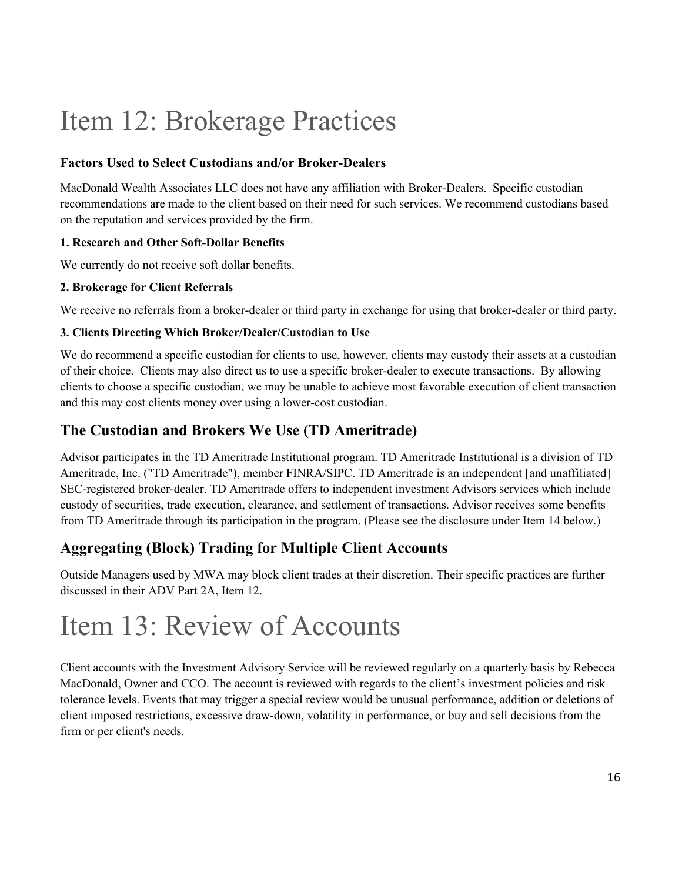## <span id="page-15-0"></span>Item 12: Brokerage Practices

#### **Factors Used to Select Custodians and/or Broker-Dealers**

MacDonald Wealth Associates LLC does not have any affiliation with Broker-Dealers. Specific custodian recommendations are made to the client based on their need for such services. We recommend custodians based on the reputation and services provided by the firm.

#### **1. Research and Other Soft-Dollar Benefits**

We currently do not receive soft dollar benefits.

#### **2. Brokerage for Client Referrals**

We receive no referrals from a broker-dealer or third party in exchange for using that broker-dealer or third party.

#### **3. Clients Directing Which Broker/Dealer/Custodian to Use**

We do recommend a specific custodian for clients to use, however, clients may custody their assets at a custodian of their choice. Clients may also direct us to use a specific broker-dealer to execute transactions. By allowing clients to choose a specific custodian, we may be unable to achieve most favorable execution of client transaction and this may cost clients money over using a lower-cost custodian.

## **The Custodian and Brokers We Use (TD Ameritrade)**

Advisor participates in the TD Ameritrade Institutional program. TD Ameritrade Institutional is a division of TD Ameritrade, Inc. ("TD Ameritrade"), member FINRA/SIPC. TD Ameritrade is an independent [and unaffiliated] SEC-registered broker-dealer. TD Ameritrade offers to independent investment Advisors services which include custody of securities, trade execution, clearance, and settlement of transactions. Advisor receives some benefits from TD Ameritrade through its participation in the program. (Please see the disclosure under Item 14 below.)

## **Aggregating (Block) Trading for Multiple Client Accounts**

Outside Managers used by MWA may block client trades at their discretion. Their specific practices are further discussed in their ADV Part 2A, Item 12.

## <span id="page-15-1"></span>Item 13: Review of Accounts

Client accounts with the Investment Advisory Service will be reviewed regularly on a quarterly basis by Rebecca MacDonald, Owner and CCO. The account is reviewed with regards to the client's investment policies and risk tolerance levels. Events that may trigger a special review would be unusual performance, addition or deletions of client imposed restrictions, excessive draw-down, volatility in performance, or buy and sell decisions from the firm or per client's needs.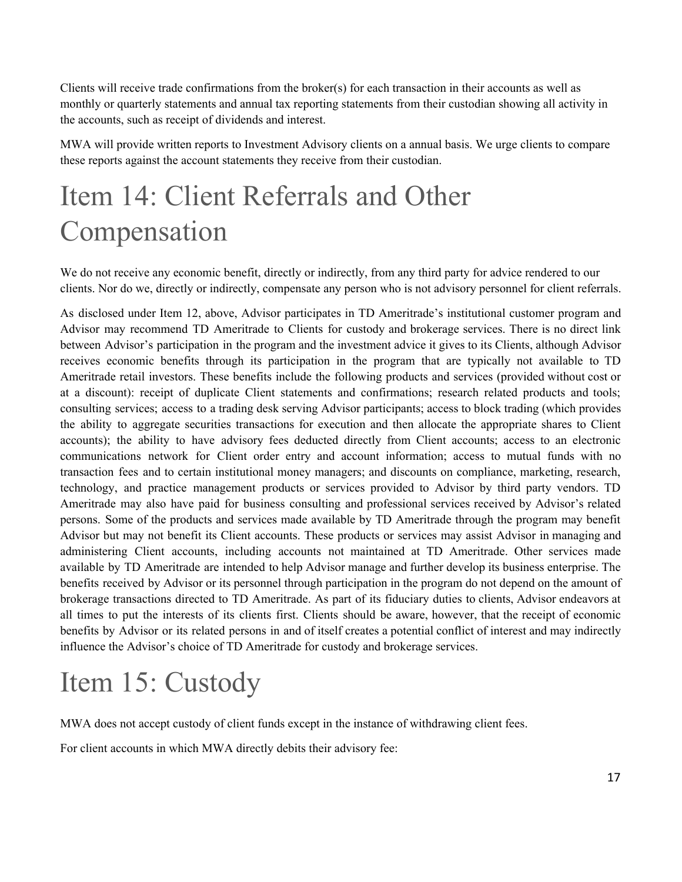Clients will receive trade confirmations from the broker(s) for each transaction in their accounts as well as monthly or quarterly statements and annual tax reporting statements from their custodian showing all activity in the accounts, such as receipt of dividends and interest.

MWA will provide written reports to Investment Advisory clients on a annual basis. We urge clients to compare these reports against the account statements they receive from their custodian.

## <span id="page-16-0"></span>Item 14: Client Referrals and Other Compensation

We do not receive any economic benefit, directly or indirectly, from any third party for advice rendered to our clients. Nor do we, directly or indirectly, compensate any person who is not advisory personnel for client referrals.

As disclosed under Item 12, above, Advisor participates in TD Ameritrade's institutional customer program and Advisor may recommend TD Ameritrade to Clients for custody and brokerage services. There is no direct link between Advisor's participation in the program and the investment advice it gives to its Clients, although Advisor receives economic benefits through its participation in the program that are typically not available to TD Ameritrade retail investors. These benefits include the following products and services (provided without cost or at a discount): receipt of duplicate Client statements and confirmations; research related products and tools; consulting services; access to a trading desk serving Advisor participants; access to block trading (which provides the ability to aggregate securities transactions for execution and then allocate the appropriate shares to Client accounts); the ability to have advisory fees deducted directly from Client accounts; access to an electronic communications network for Client order entry and account information; access to mutual funds with no transaction fees and to certain institutional money managers; and discounts on compliance, marketing, research, technology, and practice management products or services provided to Advisor by third party vendors. TD Ameritrade may also have paid for business consulting and professional services received by Advisor's related persons. Some of the products and services made available by TD Ameritrade through the program may benefit Advisor but may not benefit its Client accounts. These products or services may assist Advisor in managing and administering Client accounts, including accounts not maintained at TD Ameritrade. Other services made available by TD Ameritrade are intended to help Advisor manage and further develop its business enterprise. The benefits received by Advisor or its personnel through participation in the program do not depend on the amount of brokerage transactions directed to TD Ameritrade. As part of its fiduciary duties to clients, Advisor endeavors at all times to put the interests of its clients first. Clients should be aware, however, that the receipt of economic benefits by Advisor or its related persons in and of itself creates a potential conflict of interest and may indirectly influence the Advisor's choice of TD Ameritrade for custody and brokerage services.

## <span id="page-16-1"></span>Item 15: Custody

MWA does not accept custody of client funds except in the instance of withdrawing client fees.

For client accounts in which MWA directly debits their advisory fee: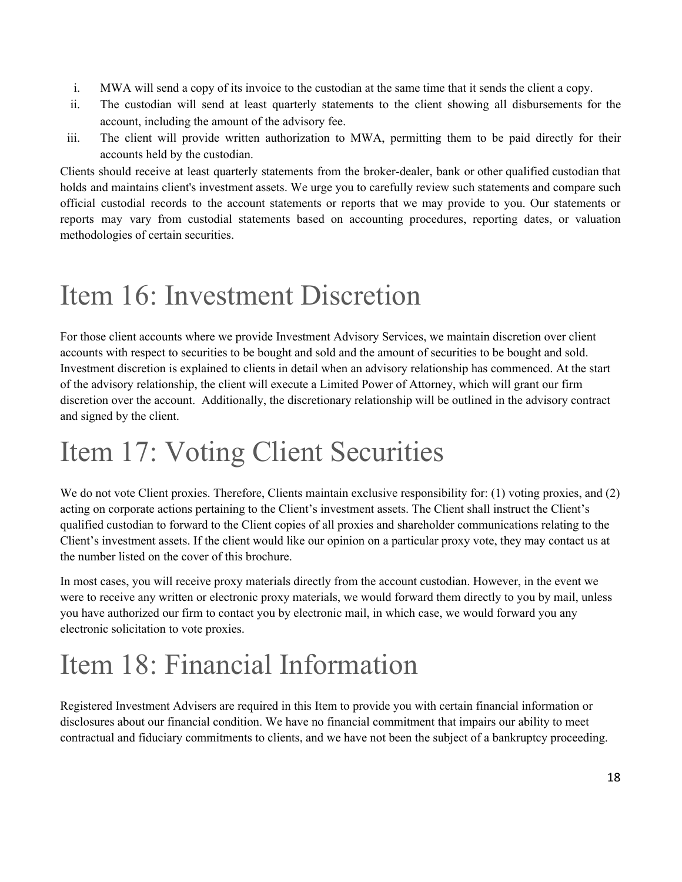- i. MWA will send a copy of its invoice to the custodian at the same time that it sends the client a copy.
- ii. The custodian will send at least quarterly statements to the client showing all disbursements for the account, including the amount of the advisory fee.
- iii. The client will provide written authorization to MWA, permitting them to be paid directly for their accounts held by the custodian.

Clients should receive at least quarterly statements from the broker-dealer, bank or other qualified custodian that holds and maintains client's investment assets. We urge you to carefully review such statements and compare such official custodial records to the account statements or reports that we may provide to you. Our statements or reports may vary from custodial statements based on accounting procedures, reporting dates, or valuation methodologies of certain securities.

## <span id="page-17-0"></span>Item 16: Investment Discretion

For those client accounts where we provide Investment Advisory Services, we maintain discretion over client accounts with respect to securities to be bought and sold and the amount of securities to be bought and sold. Investment discretion is explained to clients in detail when an advisory relationship has commenced. At the start of the advisory relationship, the client will execute a Limited Power of Attorney, which will grant our firm discretion over the account. Additionally, the discretionary relationship will be outlined in the advisory contract and signed by the client.

## <span id="page-17-1"></span>Item 17: Voting Client Securities

We do not vote Client proxies. Therefore, Clients maintain exclusive responsibility for: (1) voting proxies, and (2) acting on corporate actions pertaining to the Client's investment assets. The Client shall instruct the Client's qualified custodian to forward to the Client copies of all proxies and shareholder communications relating to the Client's investment assets. If the client would like our opinion on a particular proxy vote, they may contact us at the number listed on the cover of this brochure.

In most cases, you will receive proxy materials directly from the account custodian. However, in the event we were to receive any written or electronic proxy materials, we would forward them directly to you by mail, unless you have authorized our firm to contact you by electronic mail, in which case, we would forward you any electronic solicitation to vote proxies.

## <span id="page-17-2"></span>Item 18: Financial Information

Registered Investment Advisers are required in this Item to provide you with certain financial information or disclosures about our financial condition. We have no financial commitment that impairs our ability to meet contractual and fiduciary commitments to clients, and we have not been the subject of a bankruptcy proceeding.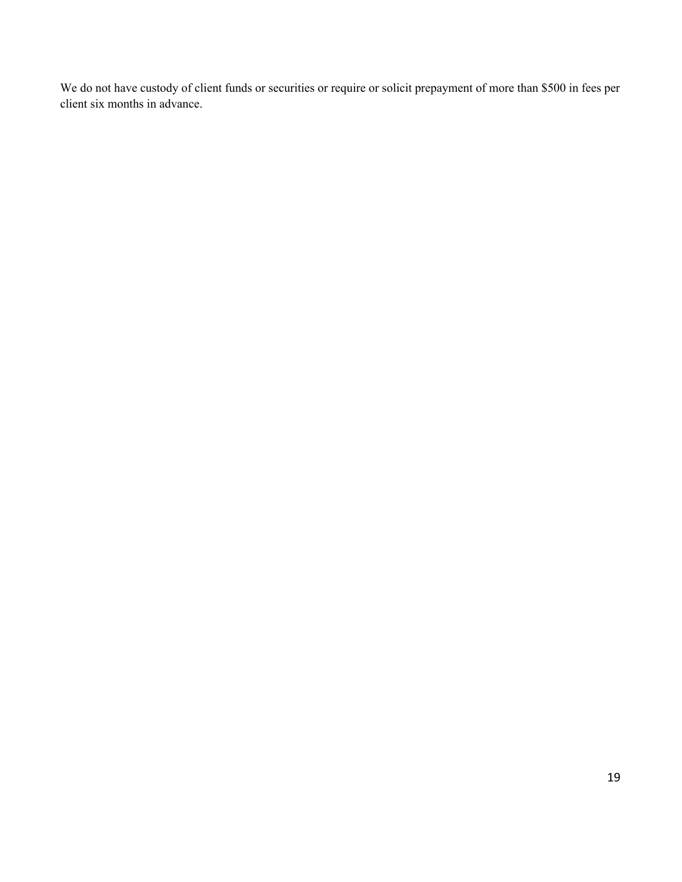We do not have custody of client funds or securities or require or solicit prepayment of more than \$500 in fees per client six months in advance.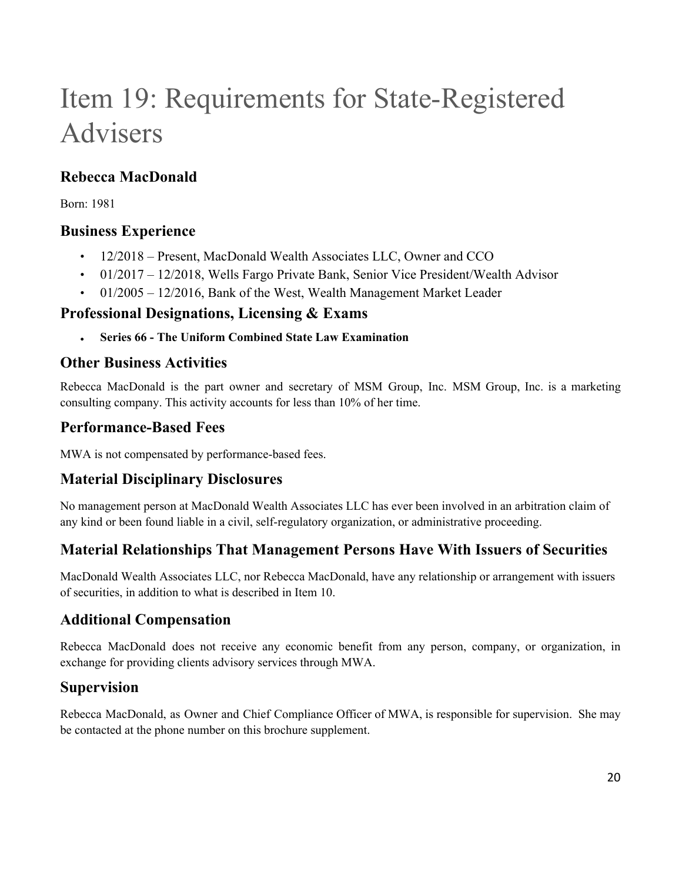# <span id="page-19-0"></span>Item 19: Requirements for State-Registered Advisers

## **Rebecca MacDonald**

Born: 1981

### **Business Experience**

- 12/2018 Present, MacDonald Wealth Associates LLC, Owner and CCO
- 01/2017 12/2018, Wells Fargo Private Bank, Senior Vice President/Wealth Advisor
- 01/2005 12/2016, Bank of the West, Wealth Management Market Leader

### **Professional Designations, Licensing & Exams**

**● Series 66 - The Uniform Combined State Law Examination**

### **Other Business Activities**

Rebecca MacDonald is the part owner and secretary of MSM Group, Inc. MSM Group, Inc. is a marketing consulting company. This activity accounts for less than 10% of her time.

## **Performance-Based Fees**

MWA is not compensated by performance-based fees.

## **Material Disciplinary Disclosures**

No management person at MacDonald Wealth Associates LLC has ever been involved in an arbitration claim of any kind or been found liable in a civil, self-regulatory organization, or administrative proceeding.

## **Material Relationships That Management Persons Have With Issuers of Securities**

MacDonald Wealth Associates LLC, nor Rebecca MacDonald, have any relationship or arrangement with issuers of securities, in addition to what is described in Item 10.

## **Additional Compensation**

Rebecca MacDonald does not receive any economic benefit from any person, company, or organization, in exchange for providing clients advisory services through MWA.

## **Supervision**

Rebecca MacDonald, as Owner and Chief Compliance Officer of MWA, is responsible for supervision. She may be contacted at the phone number on this brochure supplement.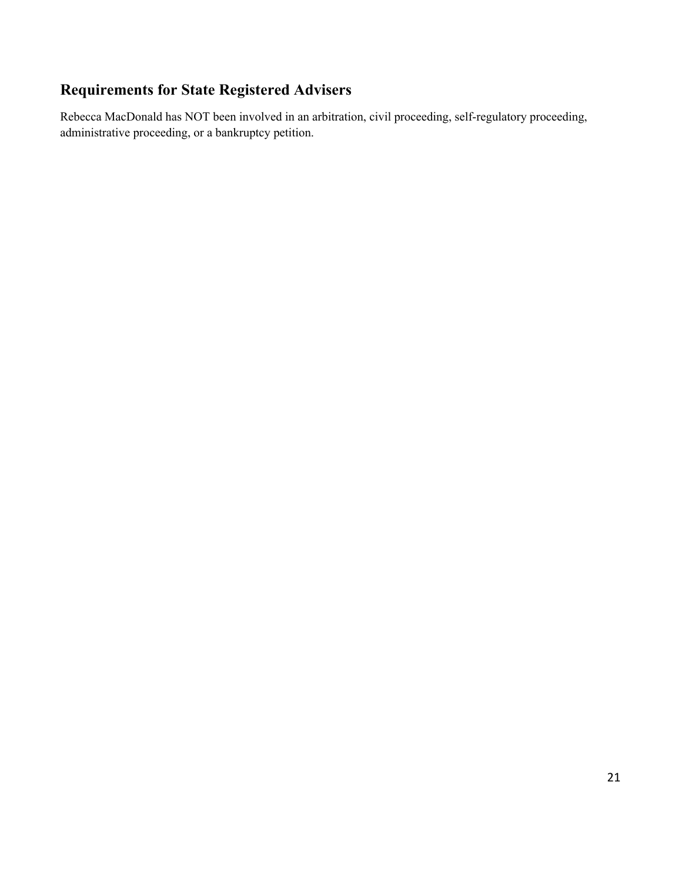## **Requirements for State Registered Advisers**

Rebecca MacDonald has NOT been involved in an arbitration, civil proceeding, self-regulatory proceeding, administrative proceeding, or a bankruptcy petition.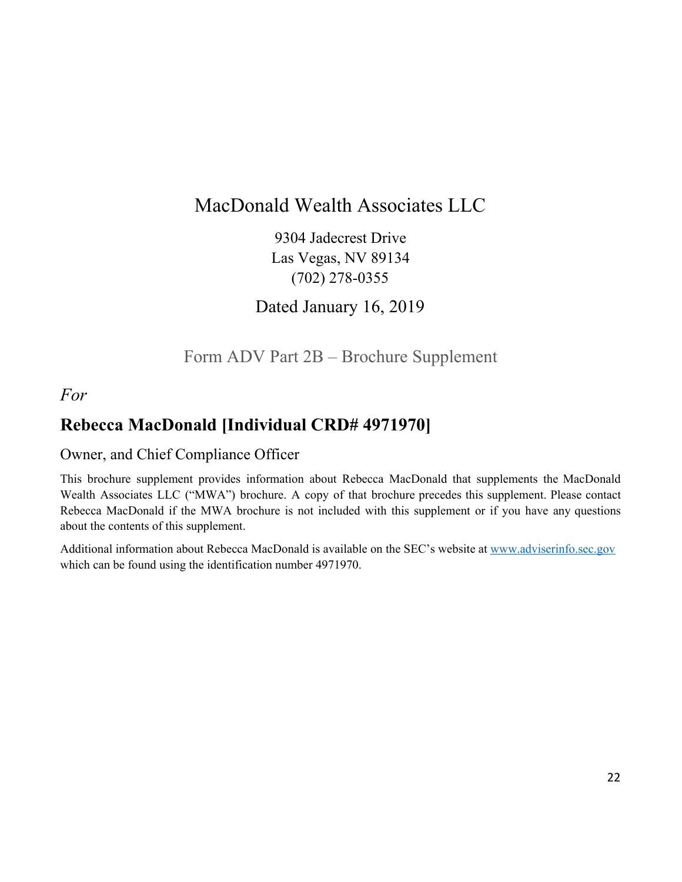## MacDonald Wealth Associates LLC

9304 Jadecrest Drive Las Vegas, NV 89134 (702) 278-0355

Dated January 16, 2019

## Form ADV Part 2B – Brochure Supplement

## <span id="page-21-0"></span>*For*

## **Rebecca MacDonald [Individual CRD# 4971970]**

#### Owner, and Chief Compliance Officer

This brochure supplement provides information about Rebecca MacDonald that supplements the MacDonald Wealth Associates LLC ("MWA") brochure. A copy of that brochure precedes this supplement. Please contact Rebecca MacDonald if the MWA brochure is not included with this supplement or if you have any questions about the contents of this supplement.

Additional information about Rebecca MacDonald is available on the SEC's website at [www.adviserinfo.sec.gov](http://www.adviserinfo.sec.gov/) which can be found using the identification number 4971970.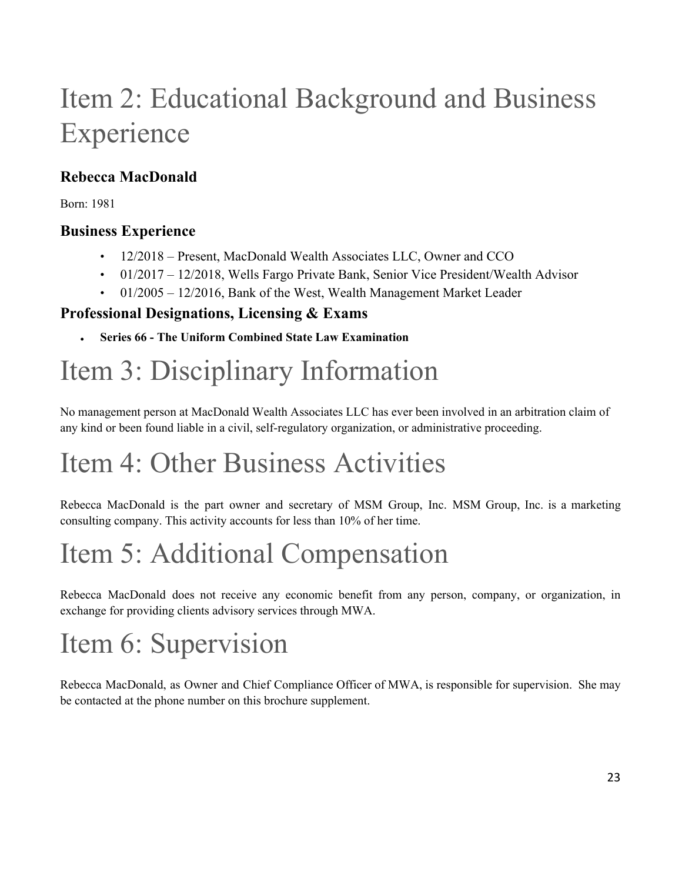# Item 2: Educational Background and Business Experience

## **Rebecca MacDonald**

Born: 1981

## **Business Experience**

- 12/2018 Present, MacDonald Wealth Associates LLC, Owner and CCO
- 01/2017 12/2018, Wells Fargo Private Bank, Senior Vice President/Wealth Advisor
- $\cdot$  01/2005 12/2016, Bank of the West, Wealth Management Market Leader

## **Professional Designations, Licensing & Exams**

**● Series 66 - The Uniform Combined State Law Examination**

# Item 3: Disciplinary Information

No management person at MacDonald Wealth Associates LLC has ever been involved in an arbitration claim of any kind or been found liable in a civil, self-regulatory organization, or administrative proceeding.

# Item 4: Other Business Activities

Rebecca MacDonald is the part owner and secretary of MSM Group, Inc. MSM Group, Inc. is a marketing consulting company. This activity accounts for less than 10% of her time.

# Item 5: Additional Compensation

Rebecca MacDonald does not receive any economic benefit from any person, company, or organization, in exchange for providing clients advisory services through MWA.

# Item 6: Supervision

Rebecca MacDonald, as Owner and Chief Compliance Officer of MWA, is responsible for supervision. She may be contacted at the phone number on this brochure supplement.